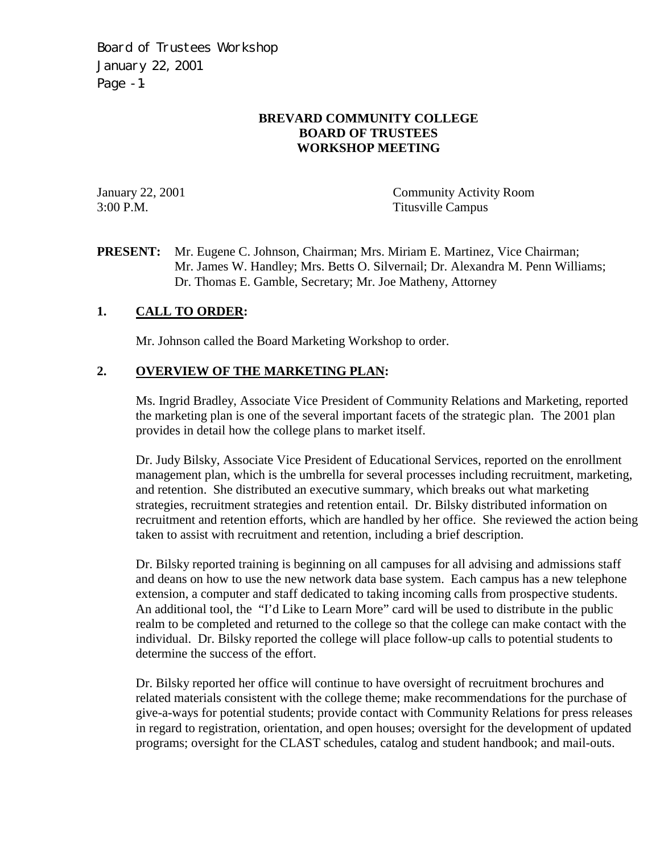Board of Trustees Workshop January 22, 2001 Page -1-

## **BREVARD COMMUNITY COLLEGE BOARD OF TRUSTEES WORKSHOP MEETING**

January 22, 2001 Community Activity Room 3:00 P.M. Titusville Campus

**PRESENT:** Mr. Eugene C. Johnson, Chairman; Mrs. Miriam E. Martinez, Vice Chairman; Mr. James W. Handley; Mrs. Betts O. Silvernail; Dr. Alexandra M. Penn Williams; Dr. Thomas E. Gamble, Secretary; Mr. Joe Matheny, Attorney

## **1. CALL TO ORDER:**

Mr. Johnson called the Board Marketing Workshop to order.

## **2. OVERVIEW OF THE MARKETING PLAN:**

Ms. Ingrid Bradley, Associate Vice President of Community Relations and Marketing, reported the marketing plan is one of the several important facets of the strategic plan. The 2001 plan provides in detail how the college plans to market itself.

Dr. Judy Bilsky, Associate Vice President of Educational Services, reported on the enrollment management plan, which is the umbrella for several processes including recruitment, marketing, and retention. She distributed an executive summary, which breaks out what marketing strategies, recruitment strategies and retention entail. Dr. Bilsky distributed information on recruitment and retention efforts, which are handled by her office. She reviewed the action being taken to assist with recruitment and retention, including a brief description.

Dr. Bilsky reported training is beginning on all campuses for all advising and admissions staff and deans on how to use the new network data base system. Each campus has a new telephone extension, a computer and staff dedicated to taking incoming calls from prospective students. An additional tool, the "I'd Like to Learn More" card will be used to distribute in the public realm to be completed and returned to the college so that the college can make contact with the individual. Dr. Bilsky reported the college will place follow-up calls to potential students to determine the success of the effort.

Dr. Bilsky reported her office will continue to have oversight of recruitment brochures and related materials consistent with the college theme; make recommendations for the purchase of give-a-ways for potential students; provide contact with Community Relations for press releases in regard to registration, orientation, and open houses; oversight for the development of updated programs; oversight for the CLAST schedules, catalog and student handbook; and mail-outs.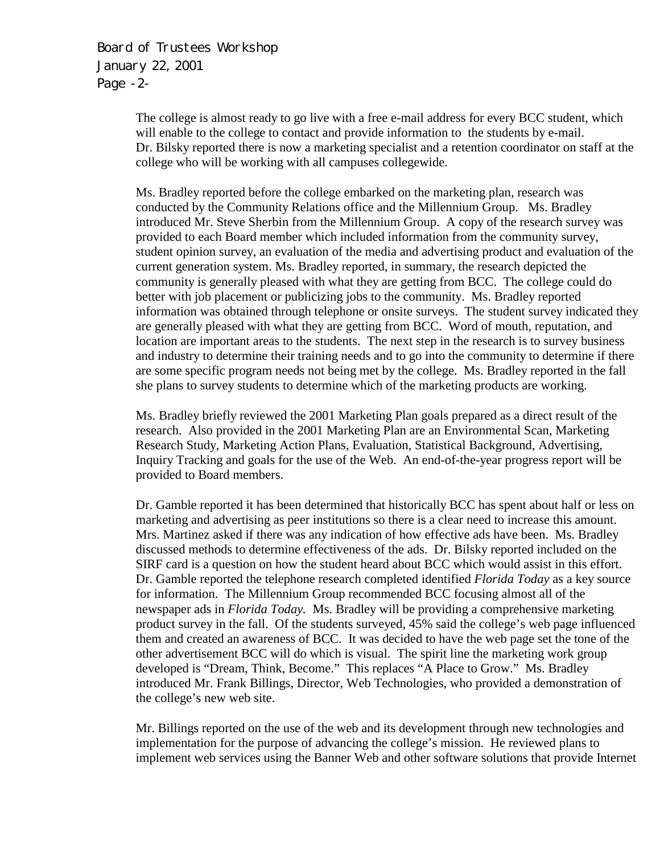Board of Trustees Workshop January 22, 2001 Page -2-

> The college is almost ready to go live with a free e-mail address for every BCC student, which will enable to the college to contact and provide information to the students by e-mail. Dr. Bilsky reported there is now a marketing specialist and a retention coordinator on staff at the college who will be working with all campuses collegewide.

> Ms. Bradley reported before the college embarked on the marketing plan, research was conducted by the Community Relations office and the Millennium Group. Ms. Bradley introduced Mr. Steve Sherbin from the Millennium Group. A copy of the research survey was provided to each Board member which included information from the community survey, student opinion survey, an evaluation of the media and advertising product and evaluation of the current generation system. Ms. Bradley reported, in summary, the research depicted the community is generally pleased with what they are getting from BCC. The college could do better with job placement or publicizing jobs to the community. Ms. Bradley reported information was obtained through telephone or onsite surveys. The student survey indicated they are generally pleased with what they are getting from BCC. Word of mouth, reputation, and location are important areas to the students. The next step in the research is to survey business and industry to determine their training needs and to go into the community to determine if there are some specific program needs not being met by the college. Ms. Bradley reported in the fall she plans to survey students to determine which of the marketing products are working.

Ms. Bradley briefly reviewed the 2001 Marketing Plan goals prepared as a direct result of the research. Also provided in the 2001 Marketing Plan are an Environmental Scan, Marketing Research Study, Marketing Action Plans, Evaluation, Statistical Background, Advertising, Inquiry Tracking and goals for the use of the Web. An end-of-the-year progress report will be provided to Board members.

Dr. Gamble reported it has been determined that historically BCC has spent about half or less on marketing and advertising as peer institutions so there is a clear need to increase this amount. Mrs. Martinez asked if there was any indication of how effective ads have been. Ms. Bradley discussed methods to determine effectiveness of the ads. Dr. Bilsky reported included on the SIRF card is a question on how the student heard about BCC which would assist in this effort. Dr. Gamble reported the telephone research completed identified *Florida Today* as a key source for information. The Millennium Group recommended BCC focusing almost all of the newspaper ads in *Florida Today.* Ms. Bradley will be providing a comprehensive marketing product survey in the fall. Of the students surveyed, 45% said the college's web page influenced them and created an awareness of BCC. It was decided to have the web page set the tone of the other advertisement BCC will do which is visual. The spirit line the marketing work group developed is "Dream, Think, Become." This replaces "A Place to Grow." Ms. Bradley introduced Mr. Frank Billings, Director, Web Technologies, who provided a demonstration of the college's new web site.

Mr. Billings reported on the use of the web and its development through new technologies and implementation for the purpose of advancing the college's mission. He reviewed plans to implement web services using the Banner Web and other software solutions that provide Internet